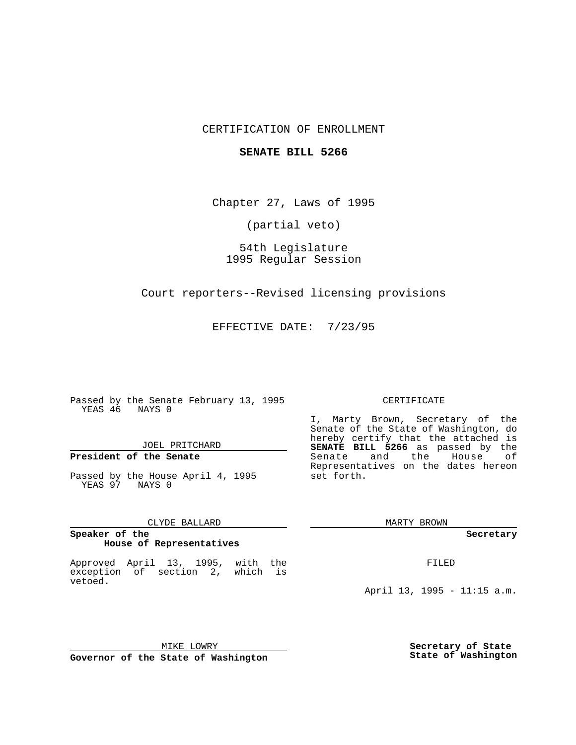### CERTIFICATION OF ENROLLMENT

### **SENATE BILL 5266**

Chapter 27, Laws of 1995

(partial veto)

54th Legislature 1995 Regular Session

Court reporters--Revised licensing provisions

EFFECTIVE DATE: 7/23/95

Passed by the Senate February 13, 1995 YEAS 46 NAYS 0

JOEL PRITCHARD

# **President of the Senate**

Passed by the House April 4, 1995 YEAS 97 NAYS 0

CLYDE BALLARD

### **Speaker of the House of Representatives**

Approved April 13, 1995, with the exception of section 2, which is vetoed.

## MIKE LOWRY **Governor of the State of Washington**

#### CERTIFICATE

I, Marty Brown, Secretary of the Senate of the State of Washington, do hereby certify that the attached is **SENATE BILL 5266** as passed by the Senate and the House of Representatives on the dates hereon set forth.

MARTY BROWN

**Secretary**

FILED

April 13, 1995 - 11:15 a.m.

**Secretary of State State of Washington**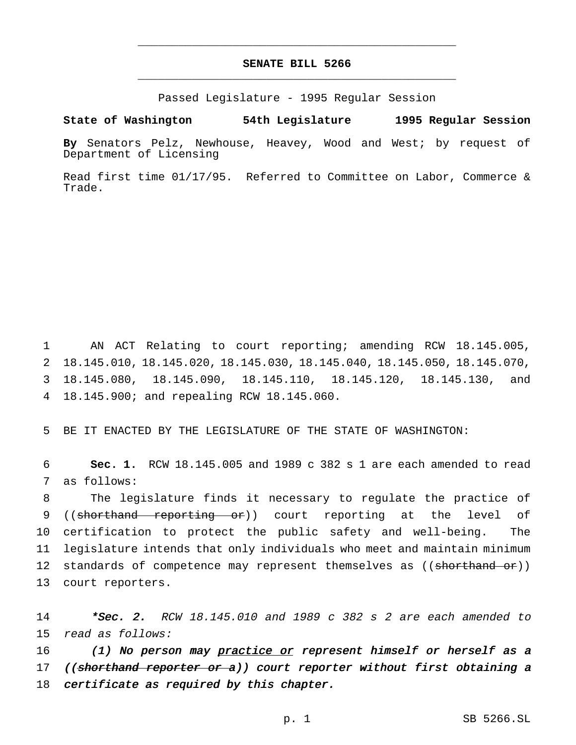# **SENATE BILL 5266** \_\_\_\_\_\_\_\_\_\_\_\_\_\_\_\_\_\_\_\_\_\_\_\_\_\_\_\_\_\_\_\_\_\_\_\_\_\_\_\_\_\_\_\_\_\_\_

\_\_\_\_\_\_\_\_\_\_\_\_\_\_\_\_\_\_\_\_\_\_\_\_\_\_\_\_\_\_\_\_\_\_\_\_\_\_\_\_\_\_\_\_\_\_\_

Passed Legislature - 1995 Regular Session

### **State of Washington 54th Legislature 1995 Regular Session**

**By** Senators Pelz, Newhouse, Heavey, Wood and West; by request of Department of Licensing

Read first time 01/17/95. Referred to Committee on Labor, Commerce & Trade.

 AN ACT Relating to court reporting; amending RCW 18.145.005, 18.145.010, 18.145.020, 18.145.030, 18.145.040, 18.145.050, 18.145.070, 18.145.080, 18.145.090, 18.145.110, 18.145.120, 18.145.130, and 18.145.900; and repealing RCW 18.145.060.

5 BE IT ENACTED BY THE LEGISLATURE OF THE STATE OF WASHINGTON:

6 **Sec. 1.** RCW 18.145.005 and 1989 c 382 s 1 are each amended to read 7 as follows:

 The legislature finds it necessary to regulate the practice of 9 ((shorthand reporting or)) court reporting at the level of certification to protect the public safety and well-being. The legislature intends that only individuals who meet and maintain minimum 12 standards of competence may represent themselves as ((shorthand or)) court reporters.

14 \*Sec. 2. RCW 18.145.010 and 1989 c 382 s 2 are each amended to 15 read as follows:

16 (1) No person may practice or represent himself or herself as a 17 ((shorthand reporter or a)) court reporter without first obtaining a 18 certificate as required by this chapter.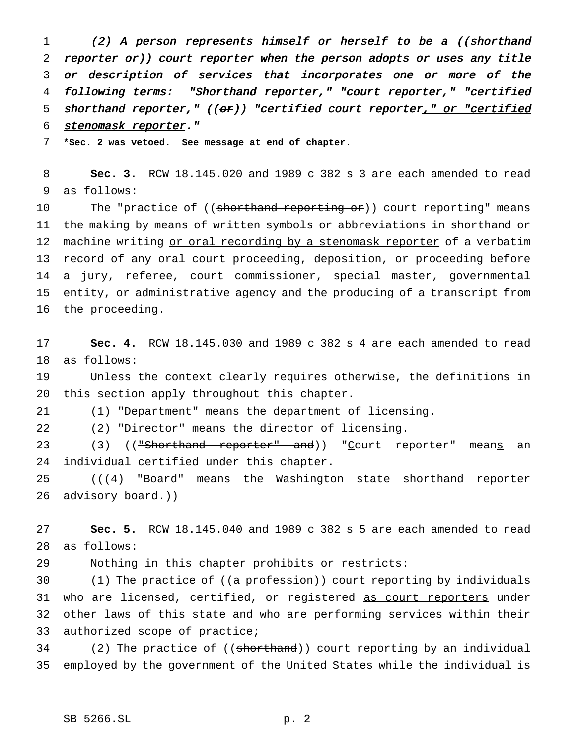1 (2) A person represents himself or herself to be a ((shorthand 2 reporter or)) court reporter when the person adopts or uses any title or description of services that incorporates one or more of the following terms: "Shorthand reporter," "court reporter," "certified 5 shorthand reporter,"  $((or))$  "certified court reporter," or "certified 6 stenomask reporter."

**\*Sec. 2 was vetoed. See message at end of chapter.**

 **Sec. 3.** RCW 18.145.020 and 1989 c 382 s 3 are each amended to read as follows:

10 The "practice of ((shorthand reporting or)) court reporting" means the making by means of written symbols or abbreviations in shorthand or 12 machine writing or oral recording by a stenomask reporter of a verbatim record of any oral court proceeding, deposition, or proceeding before a jury, referee, court commissioner, special master, governmental entity, or administrative agency and the producing of a transcript from the proceeding.

 **Sec. 4.** RCW 18.145.030 and 1989 c 382 s 4 are each amended to read as follows:

 Unless the context clearly requires otherwise, the definitions in this section apply throughout this chapter.

(1) "Department" means the department of licensing.

(2) "Director" means the director of licensing.

23 (3) (("Shorthand reporter" and)) "Court reporter" means an individual certified under this chapter.

25 (( $(4)$  "Board" means the Washington state shorthand reporter 26 advisory board.))

 **Sec. 5.** RCW 18.145.040 and 1989 c 382 s 5 are each amended to read as follows:

Nothing in this chapter prohibits or restricts:

 $(1)$  The practice of  $((a \text{ profession}))$  court reporting by individuals 31 who are licensed, certified, or registered as court reporters under other laws of this state and who are performing services within their authorized scope of practice;

34 (2) The practice of ((shorthand)) court reporting by an individual employed by the government of the United States while the individual is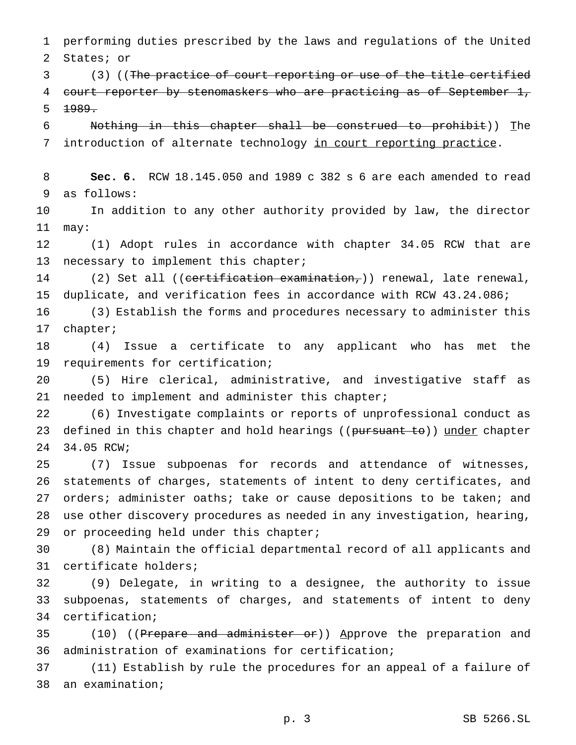performing duties prescribed by the laws and regulations of the United States; or

3 (3) ((The practice of court reporting or use of the title certified 4 court reporter by stenomaskers who are practicing as of September 1,  $1989.$ 

 Nothing in this chapter shall be construed to prohibit)) The 7 introduction of alternate technology in court reporting practice.

 **Sec. 6.** RCW 18.145.050 and 1989 c 382 s 6 are each amended to read as follows:

 In addition to any other authority provided by law, the director may:

 (1) Adopt rules in accordance with chapter 34.05 RCW that are 13 necessary to implement this chapter;

14 (2) Set all ((certification examination,)) renewal, late renewal, duplicate, and verification fees in accordance with RCW 43.24.086;

 (3) Establish the forms and procedures necessary to administer this chapter;

 (4) Issue a certificate to any applicant who has met the requirements for certification;

 (5) Hire clerical, administrative, and investigative staff as 21 needed to implement and administer this chapter;

 (6) Investigate complaints or reports of unprofessional conduct as 23 defined in this chapter and hold hearings ((pursuant to)) under chapter 34.05 RCW;

 (7) Issue subpoenas for records and attendance of witnesses, statements of charges, statements of intent to deny certificates, and 27 orders; administer oaths; take or cause depositions to be taken; and use other discovery procedures as needed in any investigation, hearing, 29 or proceeding held under this chapter;

 (8) Maintain the official departmental record of all applicants and certificate holders;

 (9) Delegate, in writing to a designee, the authority to issue subpoenas, statements of charges, and statements of intent to deny certification;

35 (10) ((Prepare and administer or)) Approve the preparation and administration of examinations for certification;

 (11) Establish by rule the procedures for an appeal of a failure of an examination;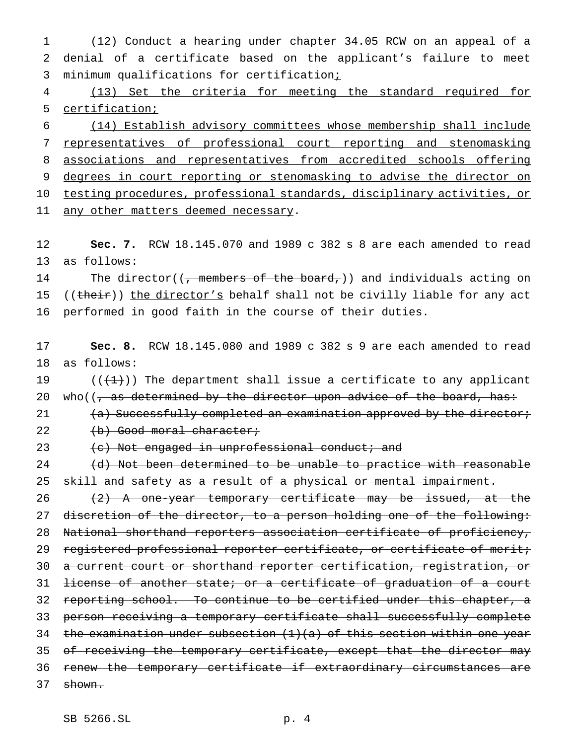1 (12) Conduct a hearing under chapter 34.05 RCW on an appeal of a 2 denial of a certificate based on the applicant's failure to meet 3 minimum qualifications for certification;

4 (13) Set the criteria for meeting the standard required for 5 certification;

 (14) Establish advisory committees whose membership shall include representatives of professional court reporting and stenomasking associations and representatives from accredited schools offering 9 degrees in court reporting or stenomasking to advise the director on testing procedures, professional standards, disciplinary activities, or 11 any other matters deemed necessary.

12 **Sec. 7.** RCW 18.145.070 and 1989 c 382 s 8 are each amended to read 13 as follows:

14 The director((<del>, members of the board,</del>)) and individuals acting on 15 (( $t$ heir)) the director's behalf shall not be civilly liable for any act 16 performed in good faith in the course of their duties.

17 **Sec. 8.** RCW 18.145.080 and 1989 c 382 s 9 are each amended to read 18 as follows:

19  $((+1))$  The department shall issue a certificate to any applicant 20 who( $\sqrt{7}$  as determined by the director upon advice of the board, has:

21 (a) Successfully completed an examination approved by the director; 22 (b) Good moral character;

23 (c) Not engaged in unprofessional conduct; and

24 (d) Not been determined to be unable to practice with reasonable 25 skill and safety as a result of a physical or mental impairment.

26  $(2)$  A one-year temporary certificate may be issued, at the 27 discretion of the director, to a person holding one of the following: 28 National shorthand reporters association certificate of proficiency, 29 registered professional reporter certificate, or certificate of merit; 30 a current court or shorthand reporter certification, registration, or 31 license of another state; or a certificate of graduation of a court 32 reporting school. To continue to be certified under this chapter, a 33 person receiving a temporary certificate shall successfully complete 34 the examination under subsection  $(1)(a)$  of this section within one year 35 of receiving the temporary certificate, except that the director may 36 renew the temporary certificate if extraordinary circumstances are 37 shown.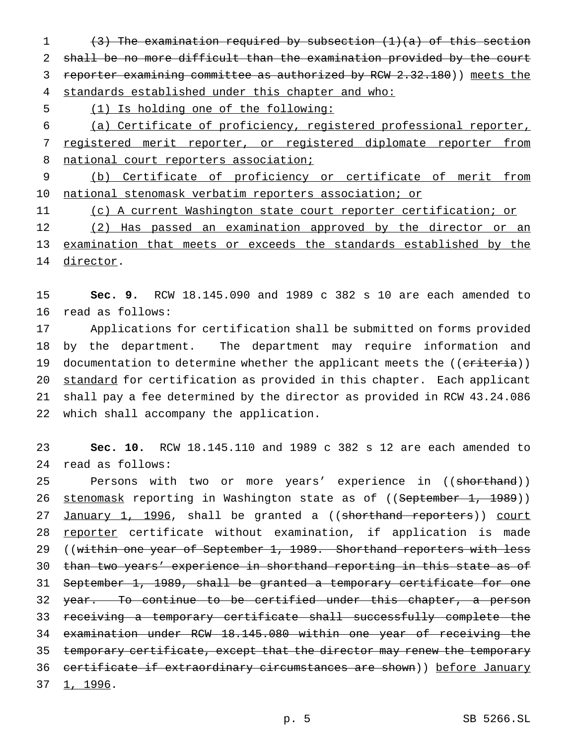1 (3) The examination required by subsection (1)(a) of this section 2 shall be no more difficult than the examination provided by the court 3 reporter examining committee as authorized by RCW 2.32.180)) meets the 4 standards established under this chapter and who:

5 (1) Is holding one of the following:

6 (a) Certificate of proficiency, registered professional reporter, 7 registered merit reporter, or registered diplomate reporter from 8 national court reporters association;

9 (b) Certificate of proficiency or certificate of merit from 10 national stenomask verbatim reporters association; or

11 (c) A current Washington state court reporter certification; or

12 (2) Has passed an examination approved by the director or an 13 examination that meets or exceeds the standards established by the 14 director.

15 **Sec. 9.** RCW 18.145.090 and 1989 c 382 s 10 are each amended to 16 read as follows:

 Applications for certification shall be submitted on forms provided by the department. The department may require information and 19 documentation to determine whether the applicant meets the ((criteria)) 20 standard for certification as provided in this chapter. Each applicant shall pay a fee determined by the director as provided in RCW 43.24.086 which shall accompany the application.

23 **Sec. 10.** RCW 18.145.110 and 1989 c 382 s 12 are each amended to 24 read as follows:

25 Persons with two or more years' experience in ((shorthand)) 26 stenomask reporting in Washington state as of ((September 1, 1989)) 27 January 1, 1996, shall be granted a ((shorthand reporters)) court 28 reporter certificate without examination, if application is made 29 ((within one year of September 1, 1989. Shorthand reporters with less 30 than two years' experience in shorthand reporting in this state as of 31 September 1, 1989, shall be granted a temporary certificate for one 32 year. To continue to be certified under this chapter, a person 33 receiving a temporary certificate shall successfully complete the 34 examination under RCW 18.145.080 within one year of receiving the 35 temporary certificate, except that the director may renew the temporary 36 certificate if extraordinary circumstances are shown)) before January 37 1, 1996.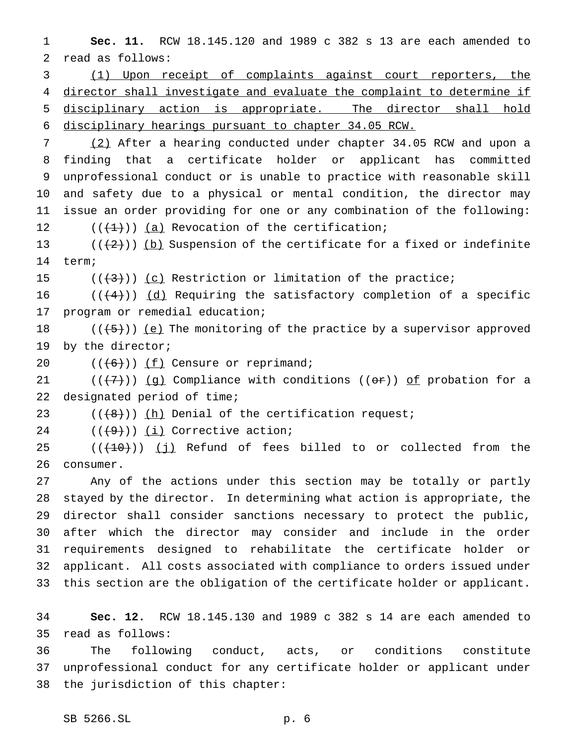**Sec. 11.** RCW 18.145.120 and 1989 c 382 s 13 are each amended to read as follows:

 (1) Upon receipt of complaints against court reporters, the director shall investigate and evaluate the complaint to determine if disciplinary action is appropriate. The director shall hold disciplinary hearings pursuant to chapter 34.05 RCW.

 (2) After a hearing conducted under chapter 34.05 RCW and upon a finding that a certificate holder or applicant has committed unprofessional conduct or is unable to practice with reasonable skill and safety due to a physical or mental condition, the director may issue an order providing for one or any combination of the following:  $((+1))$   $(a)$  Revocation of the certification;

13 ( $(\frac{2}{2})$ ) (b) Suspension of the certificate for a fixed or indefinite term;

15  $((+3))$   $(c)$  Restriction or limitation of the practice;

16  $((+4))$   $(d)$  Requiring the satisfactory completion of a specific program or remedial education;

 $((+5))$   $(e)$  The monitoring of the practice by a supervisor approved by the director;

20  $((+6))$   $(f)$  Censure or reprimand;

21 ( $(\langle 7\rangle)$ ) (g) Compliance with conditions (( $\sigma$ )) of probation for a designated period of time;

23  $((+8))$   $(h)$  Denial of the certification request;

24  $((+9))$   $(i)$  Corrective action;

  $((+10))$   $(j)$  Refund of fees billed to or collected from the consumer.

 Any of the actions under this section may be totally or partly stayed by the director. In determining what action is appropriate, the director shall consider sanctions necessary to protect the public, after which the director may consider and include in the order requirements designed to rehabilitate the certificate holder or applicant. All costs associated with compliance to orders issued under this section are the obligation of the certificate holder or applicant.

 **Sec. 12.** RCW 18.145.130 and 1989 c 382 s 14 are each amended to read as follows:

 The following conduct, acts, or conditions constitute unprofessional conduct for any certificate holder or applicant under the jurisdiction of this chapter: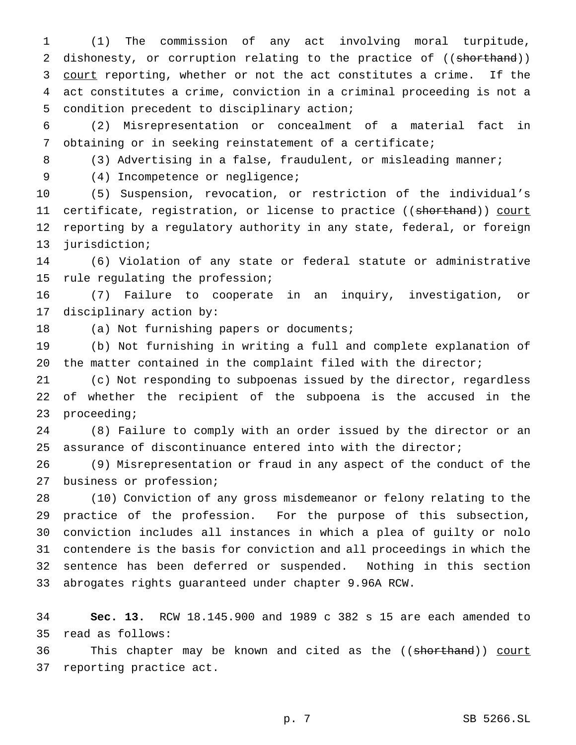(1) The commission of any act involving moral turpitude, 2 dishonesty, or corruption relating to the practice of ((shorthand)) 3 court reporting, whether or not the act constitutes a crime. If the act constitutes a crime, conviction in a criminal proceeding is not a condition precedent to disciplinary action;

 (2) Misrepresentation or concealment of a material fact in obtaining or in seeking reinstatement of a certificate;

8 (3) Advertising in a false, fraudulent, or misleading manner;

(4) Incompetence or negligence;

 (5) Suspension, revocation, or restriction of the individual's 11 certificate, registration, or license to practice ((shorthand)) court reporting by a regulatory authority in any state, federal, or foreign jurisdiction;

 (6) Violation of any state or federal statute or administrative rule regulating the profession;

 (7) Failure to cooperate in an inquiry, investigation, or disciplinary action by:

18 (a) Not furnishing papers or documents;

 (b) Not furnishing in writing a full and complete explanation of the matter contained in the complaint filed with the director;

 (c) Not responding to subpoenas issued by the director, regardless of whether the recipient of the subpoena is the accused in the proceeding;

 (8) Failure to comply with an order issued by the director or an assurance of discontinuance entered into with the director;

 (9) Misrepresentation or fraud in any aspect of the conduct of the business or profession;

 (10) Conviction of any gross misdemeanor or felony relating to the practice of the profession. For the purpose of this subsection, conviction includes all instances in which a plea of guilty or nolo contendere is the basis for conviction and all proceedings in which the sentence has been deferred or suspended. Nothing in this section abrogates rights guaranteed under chapter 9.96A RCW.

 **Sec. 13.** RCW 18.145.900 and 1989 c 382 s 15 are each amended to read as follows:

36 This chapter may be known and cited as the ((shorthand)) court reporting practice act.